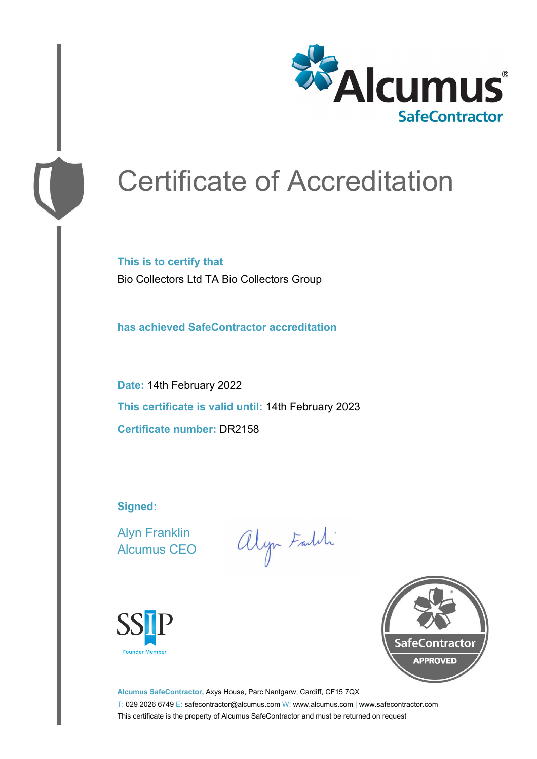

# Certificate of Accreditation

**This is to certify that** Bio Collectors Ltd TA Bio Collectors Group

**has achieved SafeContractor accreditation**

**Date:** 14th February 2022 **This certificate is valid until:** 14th February 2023 **Certificate number:** DR2158

**Signed:**

Alyn Franklin Alcumus CEO

alyn Faith





**Alcumus SafeContractor,** Axys House, Parc Nantgarw, Cardiff, CF15 7QX T: 029 2026 6749 E: safecontractor@alcumus.com W: www.alcumus.com | www.safecontractor.com This certificate is the property of Alcumus SafeContractor and must be returned on request